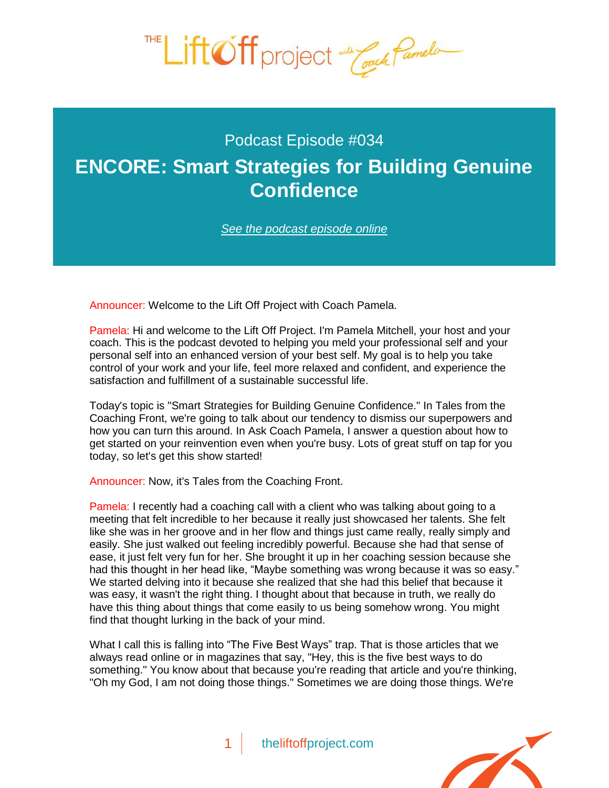

## Podcast Episode #034

## **[ENCORE: Smart Strategies for Building Genuine](http://theliftoffproject.com/encore-smart-strategies-building-genuine-confidence/)  Confidence**

*See the podcast episode online*

Announcer: Welcome to the Lift Off Project with Coach Pamela.

Pamela: Hi and welcome to the Lift Off Project. I'm Pamela Mitchell, your host and your coach. This is the podcast devoted to helping you meld your professional self and your personal self into an enhanced version of your best self. My goal is to help you take control of your work and your life, feel more relaxed and confident, and experience the satisfaction and fulfillment of a sustainable successful life.

Today's topic is "Smart Strategies for Building Genuine Confidence." In Tales from the Coaching Front, we're going to talk about our tendency to dismiss our superpowers and how you can turn this around. In Ask Coach Pamela, I answer a question about how to get started on your reinvention even when you're busy. Lots of great stuff on tap for you today, so let's get this show started!

Announcer: Now, it's Tales from the Coaching Front.

Pamela: I recently had a coaching call with a client who was talking about going to a meeting that felt incredible to her because it really just showcased her talents. She felt like she was in her groove and in her flow and things just came really, really simply and easily. She just walked out feeling incredibly powerful. Because she had that sense of ease, it just felt very fun for her. She brought it up in her coaching session because she had this thought in her head like, "Maybe something was wrong because it was so easy." We started delving into it because she realized that she had this belief that because it was easy, it wasn't the right thing. I thought about that because in truth, we really do have this thing about things that come easily to us being somehow wrong. You might find that thought lurking in the back of your mind.

What I call this is falling into "The Five Best Ways" trap. That is those articles that we always read online or in magazines that say, "Hey, this is the five best ways to do something." You know about that because you're reading that article and you're thinking, "Oh my God, I am not doing those things." Sometimes we are doing those things. We're

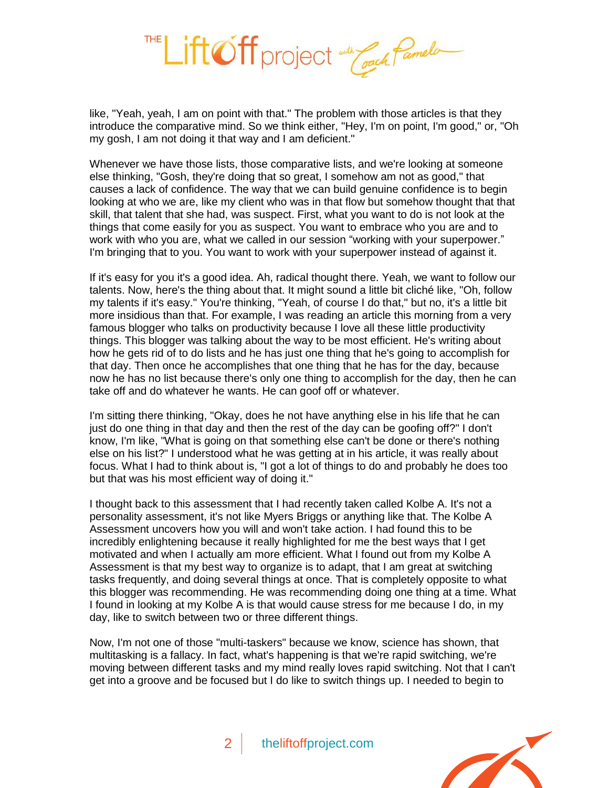

like, "Yeah, yeah, I am on point with that." The problem with those articles is that they introduce the comparative mind. So we think either, "Hey, I'm on point, I'm good," or, "Oh my gosh, I am not doing it that way and I am deficient."

Whenever we have those lists, those comparative lists, and we're looking at someone else thinking, "Gosh, they're doing that so great, I somehow am not as good," that causes a lack of confidence. The way that we can build genuine confidence is to begin looking at who we are, like my client who was in that flow but somehow thought that that skill, that talent that she had, was suspect. First, what you want to do is not look at the things that come easily for you as suspect. You want to embrace who you are and to work with who you are, what we called in our session "working with your superpower." I'm bringing that to you. You want to work with your superpower instead of against it.

If it's easy for you it's a good idea. Ah, radical thought there. Yeah, we want to follow our talents. Now, here's the thing about that. It might sound a little bit cliché like, "Oh, follow my talents if it's easy." You're thinking, "Yeah, of course I do that," but no, it's a little bit more insidious than that. For example, I was reading an article this morning from a very famous blogger who talks on productivity because I love all these little productivity things. This blogger was talking about the way to be most efficient. He's writing about how he gets rid of to do lists and he has just one thing that he's going to accomplish for that day. Then once he accomplishes that one thing that he has for the day, because now he has no list because there's only one thing to accomplish for the day, then he can take off and do whatever he wants. He can goof off or whatever.

I'm sitting there thinking, "Okay, does he not have anything else in his life that he can just do one thing in that day and then the rest of the day can be goofing off?" I don't know, I'm like, "What is going on that something else can't be done or there's nothing else on his list?" I understood what he was getting at in his article, it was really about focus. What I had to think about is, "I got a lot of things to do and probably he does too but that was his most efficient way of doing it."

I thought back to this assessment that I had recently taken called Kolbe A. It's not a personality assessment, it's not like Myers Briggs or anything like that. The Kolbe A Assessment uncovers how you will and won't take action. I had found this to be incredibly enlightening because it really highlighted for me the best ways that I get motivated and when I actually am more efficient. What I found out from my Kolbe A Assessment is that my best way to organize is to adapt, that I am great at switching tasks frequently, and doing several things at once. That is completely opposite to what this blogger was recommending. He was recommending doing one thing at a time. What I found in looking at my Kolbe A is that would cause stress for me because I do, in my day, like to switch between two or three different things.

Now, I'm not one of those "multi-taskers" because we know, science has shown, that multitasking is a fallacy. In fact, what's happening is that we're rapid switching, we're moving between different tasks and my mind really loves rapid switching. Not that I can't get into a groove and be focused but I do like to switch things up. I needed to begin to

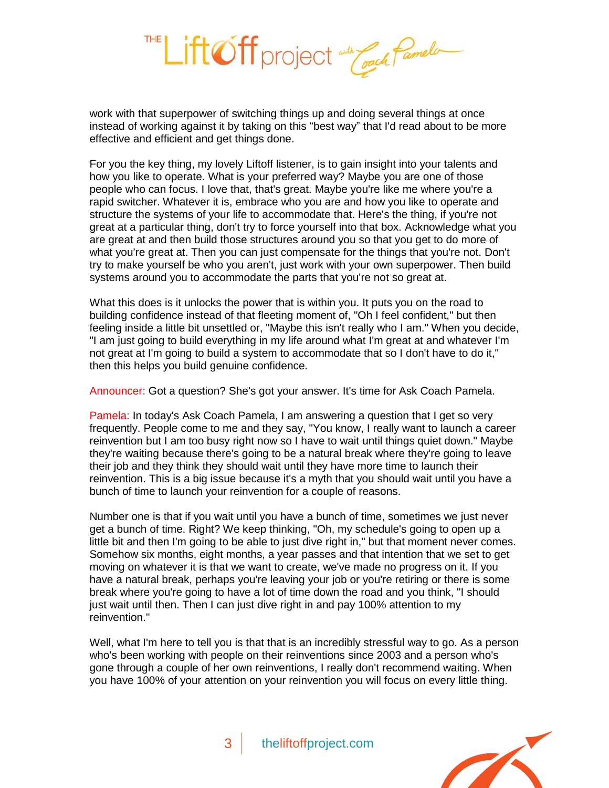

work with that superpower of switching things up and doing several things at once instead of working against it by taking on this "best way" that I'd read about to be more effective and efficient and get things done.

For you the key thing, my lovely Liftoff listener, is to gain insight into your talents and how you like to operate. What is your preferred way? Maybe you are one of those people who can focus. I love that, that's great. Maybe you're like me where you're a rapid switcher. Whatever it is, embrace who you are and how you like to operate and structure the systems of your life to accommodate that. Here's the thing, if you're not great at a particular thing, don't try to force yourself into that box. Acknowledge what you are great at and then build those structures around you so that you get to do more of what you're great at. Then you can just compensate for the things that you're not. Don't try to make yourself be who you aren't, just work with your own superpower. Then build systems around you to accommodate the parts that you're not so great at.

What this does is it unlocks the power that is within you. It puts you on the road to building confidence instead of that fleeting moment of, "Oh I feel confident," but then feeling inside a little bit unsettled or, "Maybe this isn't really who I am." When you decide, "I am just going to build everything in my life around what I'm great at and whatever I'm not great at I'm going to build a system to accommodate that so I don't have to do it," then this helps you build genuine confidence.

Announcer: Got a question? She's got your answer. It's time for Ask Coach Pamela.

Pamela: In today's Ask Coach Pamela, I am answering a question that I get so very frequently. People come to me and they say, "You know, I really want to launch a career reinvention but I am too busy right now so I have to wait until things quiet down." Maybe they're waiting because there's going to be a natural break where they're going to leave their job and they think they should wait until they have more time to launch their reinvention. This is a big issue because it's a myth that you should wait until you have a bunch of time to launch your reinvention for a couple of reasons.

Number one is that if you wait until you have a bunch of time, sometimes we just never get a bunch of time. Right? We keep thinking, "Oh, my schedule's going to open up a little bit and then I'm going to be able to just dive right in," but that moment never comes. Somehow six months, eight months, a year passes and that intention that we set to get moving on whatever it is that we want to create, we've made no progress on it. If you have a natural break, perhaps you're leaving your job or you're retiring or there is some break where you're going to have a lot of time down the road and you think, "I should just wait until then. Then I can just dive right in and pay 100% attention to my reinvention."

Well, what I'm here to tell you is that that is an incredibly stressful way to go. As a person who's been working with people on their reinventions since 2003 and a person who's gone through a couple of her own reinventions, I really don't recommend waiting. When you have 100% of your attention on your reinvention you will focus on every little thing.

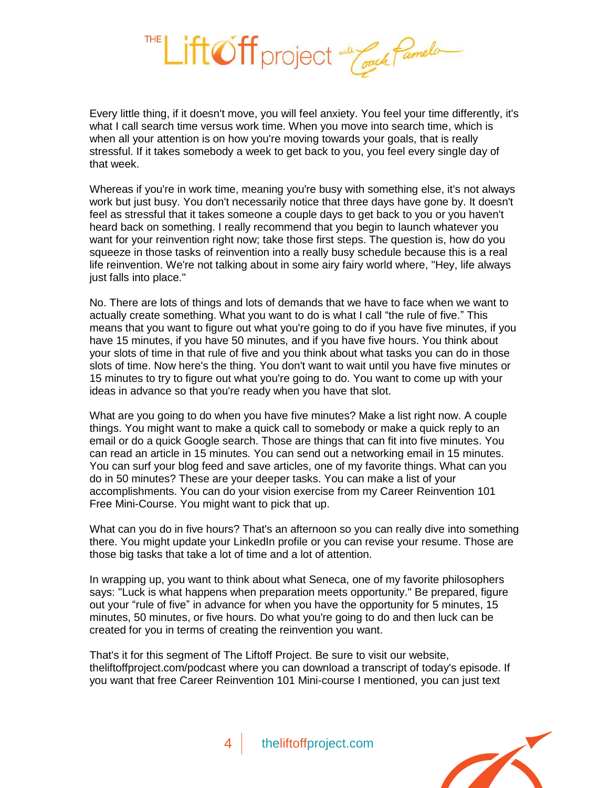

Every little thing, if it doesn't move, you will feel anxiety. You feel your time differently, it's what I call search time versus work time. When you move into search time, which is when all your attention is on how you're moving towards your goals, that is really stressful. If it takes somebody a week to get back to you, you feel every single day of that week.

Whereas if you're in work time, meaning you're busy with something else, it's not always work but just busy. You don't necessarily notice that three days have gone by. It doesn't feel as stressful that it takes someone a couple days to get back to you or you haven't heard back on something. I really recommend that you begin to launch whatever you want for your reinvention right now; take those first steps. The question is, how do you squeeze in those tasks of reinvention into a really busy schedule because this is a real life reinvention. We're not talking about in some airy fairy world where, "Hey, life always just falls into place."

No. There are lots of things and lots of demands that we have to face when we want to actually create something. What you want to do is what I call "the rule of five." This means that you want to figure out what you're going to do if you have five minutes, if you have 15 minutes, if you have 50 minutes, and if you have five hours. You think about your slots of time in that rule of five and you think about what tasks you can do in those slots of time. Now here's the thing. You don't want to wait until you have five minutes or 15 minutes to try to figure out what you're going to do. You want to come up with your ideas in advance so that you're ready when you have that slot.

What are you going to do when you have five minutes? Make a list right now. A couple things. You might want to make a quick call to somebody or make a quick reply to an email or do a quick Google search. Those are things that can fit into five minutes. You can read an article in 15 minutes. You can send out a networking email in 15 minutes. You can surf your blog feed and save articles, one of my favorite things. What can you do in 50 minutes? These are your deeper tasks. You can make a list of your accomplishments. You can do your vision exercise from my Career Reinvention 101 Free Mini-Course. You might want to pick that up.

What can you do in five hours? That's an afternoon so you can really dive into something there. You might update your LinkedIn profile or you can revise your resume. Those are those big tasks that take a lot of time and a lot of attention.

In wrapping up, you want to think about what Seneca, one of my favorite philosophers says: "Luck is what happens when preparation meets opportunity." Be prepared, figure out your "rule of five" in advance for when you have the opportunity for 5 minutes, 15 minutes, 50 minutes, or five hours. Do what you're going to do and then luck can be created for you in terms of creating the reinvention you want.

That's it for this segment of The Liftoff Project. Be sure to visit our website, theliftoffproject.com/podcast where you can download a transcript of today's episode. If you want that free Career Reinvention 101 Mini-course I mentioned, you can just text